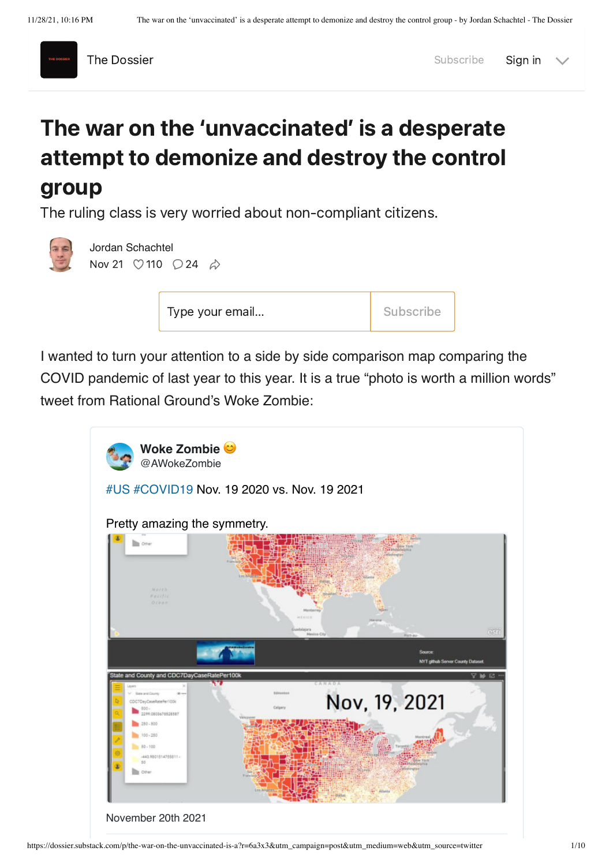

The [Dossier](https://dossier.substack.com/) Subscribe [Sign](https://dossier.substack.com/account/login?redirect=%2Fp%2Fthe-war-on-the-unvaccinated-is-a%3Fr%3D6a3x3%26utm_campaign%3Dpost%26utm_medium%3Dweb%26utm_source%3Dtwitter&email=&with_password=&justTrying=) in

## The war on the 'unvaccinated' is a desperate attempt to demonize and destroy the control group

The ruling class is very worried about non-compliant citizens.



[Jordan Schachtel](https://substack.com/profile/10549335-jordan-schachtel) Nov 21  $\heartsuit$  [110](javascript:void(0))  $\heartsuit$  [24](https://dossier.substack.com/p/the-war-on-the-unvaccinated-is-a/comments)  $\phi$ 

| Subscribe<br>Type your email |
|------------------------------|
|------------------------------|

I wanted to turn your attention to a side by side comparison map comparing the COVID pandemic of last year to this year. It is a true "photo is worth a million words" tweet from Rational Ground's Woke Zombie:

| Woke Zombie <sup>c</sup><br>@AWokeZombie                                                                                                             |                                                        |
|------------------------------------------------------------------------------------------------------------------------------------------------------|--------------------------------------------------------|
| #US #COVID19 Nov. 19 2020 vs. Nov. 19 2021                                                                                                           |                                                        |
| Pretty amazing the symmetry.                                                                                                                         |                                                        |
| <b>Dig Colver</b><br>Marth<br>HOLIFIC<br>Ocean                                                                                                       | Maiderrey<br>HEKICH<br>satslates<br>est<br>Mexica City |
|                                                                                                                                                      | Source<br><b>NYT github Server County Dataset</b>      |
| State and County and CDC7DayCaseRatePer100k                                                                                                          |                                                        |
| Levers<br>State and County<br>Edmonton<br>OD ext<br>CDC7DeyCaseRatePar100k<br>Calgary<br>800.<br>120803478526587<br>280-800<br>100-250<br>$80 - 100$ | Y M E<br>CANADA<br>Nov, 19, 2021                       |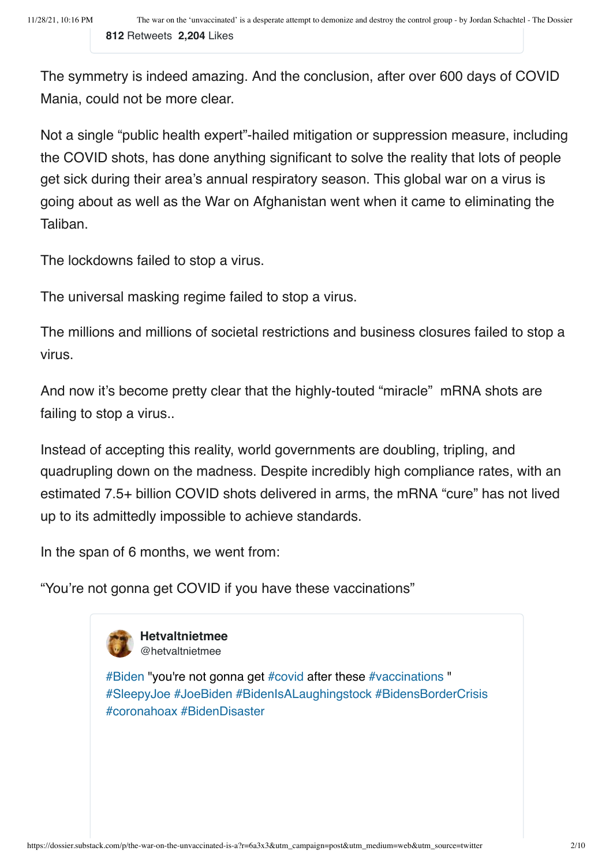The symmetry is indeed amazing. And the conclusion, after over 600 days of COVID Mania, could not be more clear.

Not a single "public health expert"-hailed mitigation or suppression measure, including the COVID shots, has done anything significant to solve the reality that lots of people get sick during their area's annual respiratory season. This global war on a virus is going about as well as the War on Afghanistan went when it came to eliminating the Taliban.

The lockdowns failed to stop a virus.

The universal masking regime failed to stop a virus.

The millions and millions of societal restrictions and business closures failed to stop a virus.

And now it's become pretty clear that the highly-touted "miracle" mRNA shots are failing to stop a virus..

Instead of accepting this reality, world governments are doubling, tripling, and quadrupling down on the madness. Despite incredibly high compliance rates, with an estimated 7.5+ billion COVID shots delivered in arms, the mRNA "cure" has not lived up to its admittedly impossible to achieve standards.

In the span of 6 months, we went from:

"You're not gonna get COVID if you have these vaccinations"



**Hetvaltnietmee** @hetvaltnietmee

[#Biden "you're not gonna get #covid after these #vaccinations "](https://twitter.com/hetvaltnietmee/status/1461685485001224195?s=20) #SleepyJoe #JoeBiden #BidenIsALaughingstock #BidensBorderCrisis #coronahoax #BidenDisaster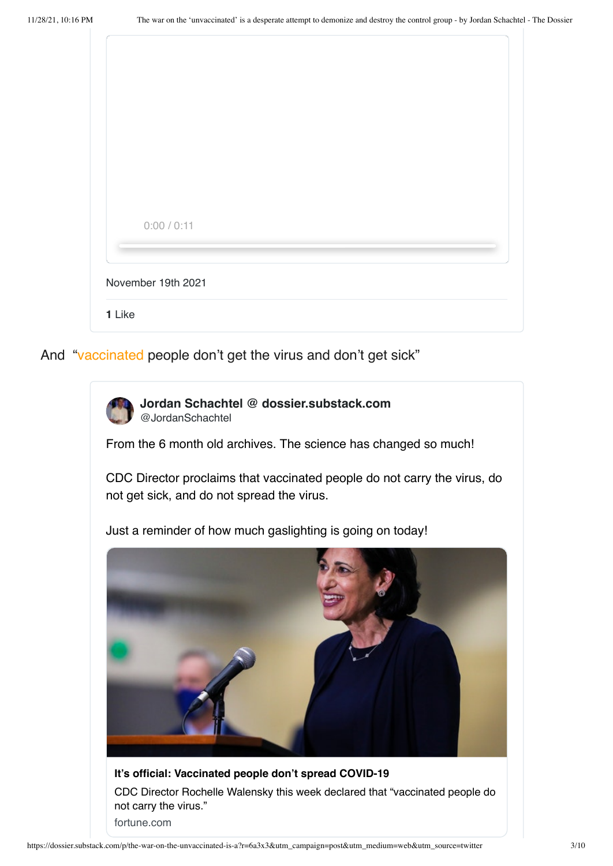| 0:00 / 0:11        |  |  |  |
|--------------------|--|--|--|
| November 19th 2021 |  |  |  |
| 1 Like             |  |  |  |

And ["vaccinated](https://fortune.com/2021/04/01/its-official-vaccinated-people-dont-transmit-covid-19/) people don't get the virus and don't get sick"



**Jordan Schachtel @ dossier.substack.com** @JordanSchachtel

From the 6 month old archives. The science has changed so much!

[CDC Director proclaims that vaccinated people do not carry the virus, do](https://twitter.com/JordanSchachtel/status/1462092716037357574?s=20) not get sick, and do not spread the virus.

Just a reminder of how much gaslighting is going on today!



**It's official: Vaccinated people don't spread COVID-19** [CDC Director Rochelle Walensky this week declared that "vaccinated people do](https://fortune.com/2021/04/01/its-official-vaccinated-people-dont-transmit-covid-19/) not carry the virus." fortune.com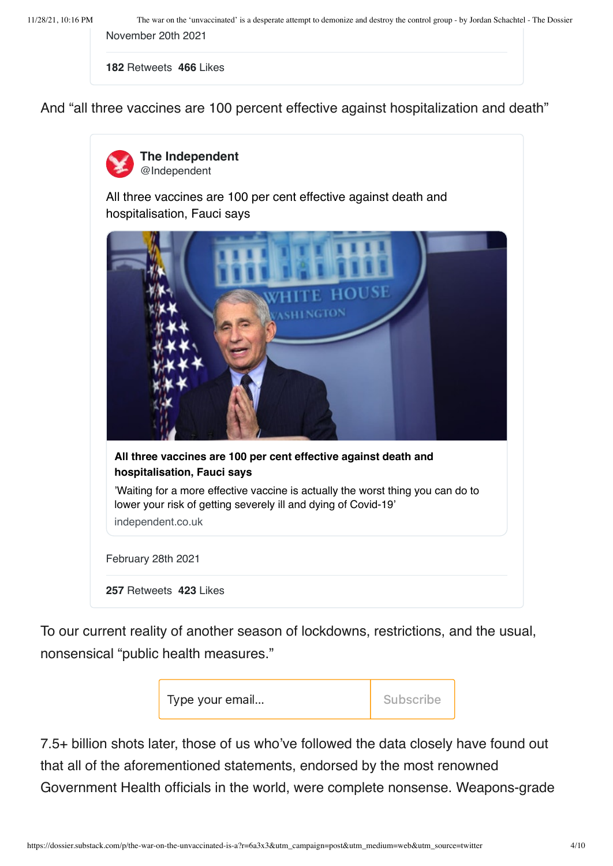11/28/21, 10:16 PM The war on the 'unvaccinated' is a desperate attempt to demonize and destroy the control group - by Jordan Schachtel - The Dossier [November 20th 2021](https://twitter.com/JordanSchachtel/status/1462092716037357574?s=20)

**182** Retweets **466** Likes

And "all three vaccines are 100 percent effective against hospitalization and death"



**The Independent** @Independent

[All three vaccines are 100 per cent effective against death and](https://twitter.com/Independent/status/1366125427144732672?s=20) hospitalisation, Fauci says



To our current reality of another season of lockdowns, restrictions, and the usual, nonsensical "public health measures."



7.5+ billion shots later, those of us who've followed the data closely have found out that all of the aforementioned statements, endorsed by the most renowned Government Health officials in the world, were complete nonsense. Weapons-grade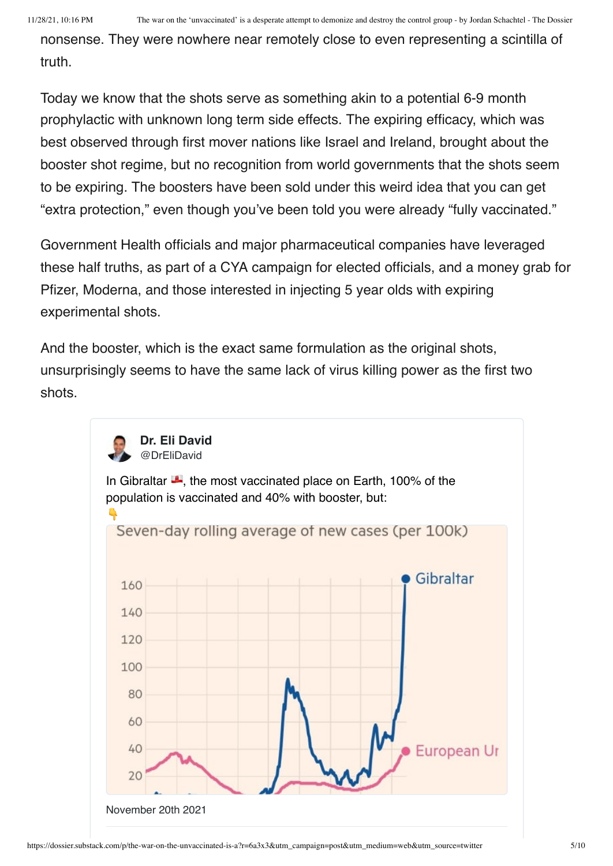nonsense. They were nowhere near remotely close to even representing a scintilla of truth.

Today we know that the shots serve as something akin to a potential 6-9 month prophylactic with unknown long term side effects. The expiring efficacy, which was best observed through first mover nations like Israel and Ireland, brought about the booster shot regime, but no recognition from world governments that the shots seem to be expiring. The boosters have been sold under this weird idea that you can get "extra protection," even though you've been told you were already "fully vaccinated."

Government Health officials and major pharmaceutical companies have leveraged these half truths, as part of a CYA campaign for elected officials, and a money grab for Pfizer, Moderna, and those interested in injecting 5 year olds with expiring experimental shots.

And the booster, which is the exact same formulation as the original shots, unsurprisingly seems to have the same lack of virus killing power as the first two shots.

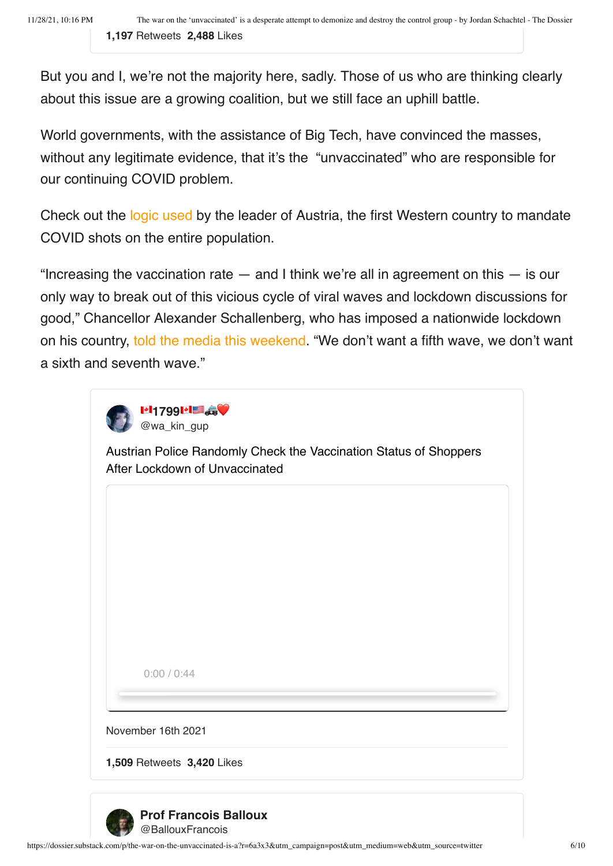But you and I, we're not the majority here, sadly. Those of us who are thinking clearly about this issue are a growing coalition, but we still face an uphill battle.

World governments, with the assistance of Big Tech, have convinced the masses, without any legitimate evidence, that it's the "unvaccinated" who are responsible for our continuing COVID problem.

Check out the [logic used](https://www.politico.eu/article/austria-mandatory-coronavirus-vaccination-february/) by the leader of Austria, the first Western country to mandate COVID shots on the entire population.

"Increasing the vaccination rate  $-$  and I think we're all in agreement on this  $-$  is our only way to break out of this vicious cycle of viral waves and lockdown discussions for good," Chancellor Alexander Schallenberg, who has imposed a nationwide lockdown on his country, [told the media this weekend](https://apnews.com/article/coronavirus-pandemic-lifestyle-health-europe-restaurants-9627ef468fa8484796d33e8dc656e989). "We don't want a fifth wave, we don't want a sixth and seventh wave."



[Austrian Police Randomly Check the Vaccination Status of Shoppers](https://twitter.com/wa_kin_gup/status/1460416030694510592?s=20) After Lockdown of Unvaccinated

0:00 / 0:44

[November 16th 2021](https://twitter.com/wa_kin_gup/status/1460416030694510592?s=20)

**1,509** Retweets **3,420** Likes